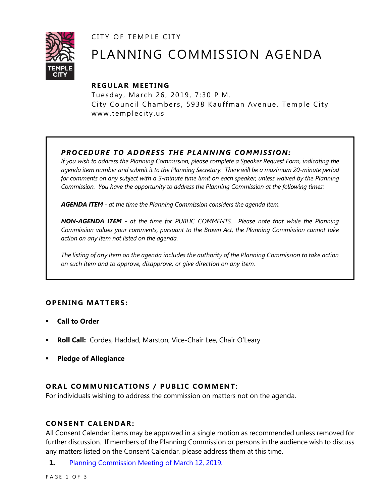CITY OF TEMPLE CITY



# PLANNING COMMISSION AGENDA

# **R EGULA R MEE TING**

Tuesday, March 26, 2019, 7:30 P.M. City Council Chambers, 5938 Kauffman Avenue, Temple City www.templecity.us

# *PRO CE DURE TO ADDRE SS THE P LA NNI NG COMM I SSION:*

*If you wish to address the Planning Commission, please complete a Speaker Request Form, indicating the agenda item number and submit it to the Planning Secretary. There will be a maximum 20-minute period*  for comments on any subject with a 3-minute time limit on each speaker, unless waived by the Planning *Commission. You have the opportunity to address the Planning Commission at the following times:*

*AGENDA ITEM - at the time the Planning Commission considers the agenda item.*

*NON-AGENDA ITEM - at the time for PUBLIC COMMENTS. Please note that while the Planning Commission values your comments, pursuant to the Brown Act, the Planning Commission cannot take action on any item not listed on the agenda.*

*The listing of any item on the agenda includes the authority of the Planning Commission to take action on such item and to approve, disapprove, or give direction on any item.*

# **OPENING MATTERS:**

- **Call to Order**
- **Roll Call:** Cordes, Haddad, Marston, Vice-Chair Lee, Chair O'Leary
- **Pledge of Allegiance**

# **ORAL COMMUNICATIONS / PUBLIC COMMENT:**

For individuals wishing to address the commission on matters not on the agenda.

#### **CONSENT CA LENDAR:**

All Consent Calendar items may be approved in a single motion as recommended unless removed for further discussion. If members of the Planning Commission or persons in the audience wish to discuss any matters listed on the Consent Calendar, please address them at this time.

**1.** [Planning Commission Meeting of March 12, 2019.](https://www.ci.temple-city.ca.us/DocumentCenter/View/12180/PCM-Minute-3-12-19)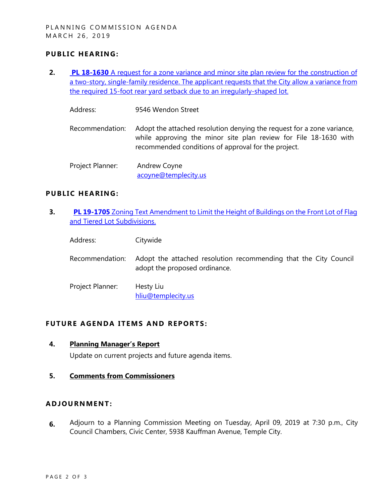### **PUBLIC HEARING:**

**2. PL 18-1630** [A request for a zone variance and minor site plan review for the construction of](https://www.ci.temple-city.ca.us/DocumentCenter/View/12186/Item-1-9546-Wendon)  [a two-story, single-family residence. The applicant requests that the City allow a variance from](https://www.ci.temple-city.ca.us/DocumentCenter/View/12186/Item-1-9546-Wendon)  [the required 15-foot rear yard setback due to an irregularly-shaped](https://www.ci.temple-city.ca.us/DocumentCenter/View/12186/Item-1-9546-Wendon) lot.

Address: 9546 Wendon Street

- Recommendation: Adopt the attached resolution denying the request for a zone variance, while approving the minor site plan review for File 18-1630 with recommended conditions of approval for the project.
- Project Planner: Andrew Coyne [acoyne@templecity.us](mailto:acoyne@templecity.us)

#### **PUBLIC HEARING:**

- **3. PL 19-1705** Zoning Text Amendment to Limit the Height of Buildings on the Front Lot of Flag [and Tiered Lot Subdivisions.](https://www.ci.temple-city.ca.us/DocumentCenter/View/12204/Attachemnt-2-19-1705-City-Wide)
	- Address: Citywide
	- Recommendation: Adopt the attached resolution recommending that the City Council adopt the proposed ordinance.
	- Project Planner: Hesty Liu [hliu@templecity.us](mailto:HLiu@templecity.us)

#### **FUTURE AGENDA ITEMS AND REPORTS:**

- **4. Planning Manager's Report** Update on current projects and future agenda items.
	-
- **5. Comments from Commissioners**

#### **ADJOU RNMENT:**

**6.** Adjourn to a Planning Commission Meeting on Tuesday, April 09, 2019 at 7:30 p.m., City Council Chambers, Civic Center, 5938 Kauffman Avenue, Temple City.